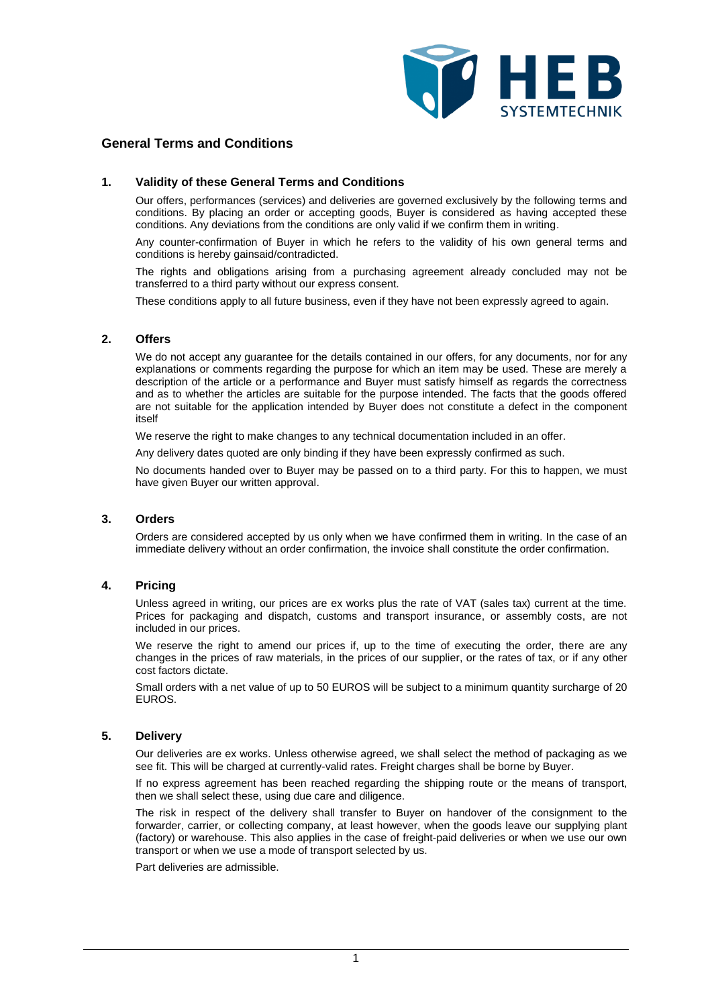

# **General Terms and Conditions**

#### **1. Validity of these General Terms and Conditions**

Our offers, performances (services) and deliveries are governed exclusively by the following terms and conditions. By placing an order or accepting goods, Buyer is considered as having accepted these conditions. Any deviations from the conditions are only valid if we confirm them in writing.

Any counter-confirmation of Buyer in which he refers to the validity of his own general terms and conditions is hereby gainsaid/contradicted.

The rights and obligations arising from a purchasing agreement already concluded may not be transferred to a third party without our express consent.

These conditions apply to all future business, even if they have not been expressly agreed to again.

#### **2. Offers**

We do not accept any quarantee for the details contained in our offers, for any documents, nor for any explanations or comments regarding the purpose for which an item may be used. These are merely a description of the article or a performance and Buyer must satisfy himself as regards the correctness and as to whether the articles are suitable for the purpose intended. The facts that the goods offered are not suitable for the application intended by Buyer does not constitute a defect in the component itself

We reserve the right to make changes to any technical documentation included in an offer.

Any delivery dates quoted are only binding if they have been expressly confirmed as such.

No documents handed over to Buyer may be passed on to a third party. For this to happen, we must have given Buyer our written approval.

### **3. Orders**

Orders are considered accepted by us only when we have confirmed them in writing. In the case of an immediate delivery without an order confirmation, the invoice shall constitute the order confirmation.

#### **4. Pricing**

Unless agreed in writing, our prices are ex works plus the rate of VAT (sales tax) current at the time. Prices for packaging and dispatch, customs and transport insurance, or assembly costs, are not included in our prices.

We reserve the right to amend our prices if, up to the time of executing the order, there are any changes in the prices of raw materials, in the prices of our supplier, or the rates of tax, or if any other cost factors dictate.

Small orders with a net value of up to 50 EUROS will be subject to a minimum quantity surcharge of 20 EUROS.

#### **5. Delivery**

Our deliveries are ex works. Unless otherwise agreed, we shall select the method of packaging as we see fit. This will be charged at currently-valid rates. Freight charges shall be borne by Buyer.

If no express agreement has been reached regarding the shipping route or the means of transport, then we shall select these, using due care and diligence.

The risk in respect of the delivery shall transfer to Buyer on handover of the consignment to the forwarder, carrier, or collecting company, at least however, when the goods leave our supplying plant (factory) or warehouse. This also applies in the case of freight-paid deliveries or when we use our own transport or when we use a mode of transport selected by us.

Part deliveries are admissible.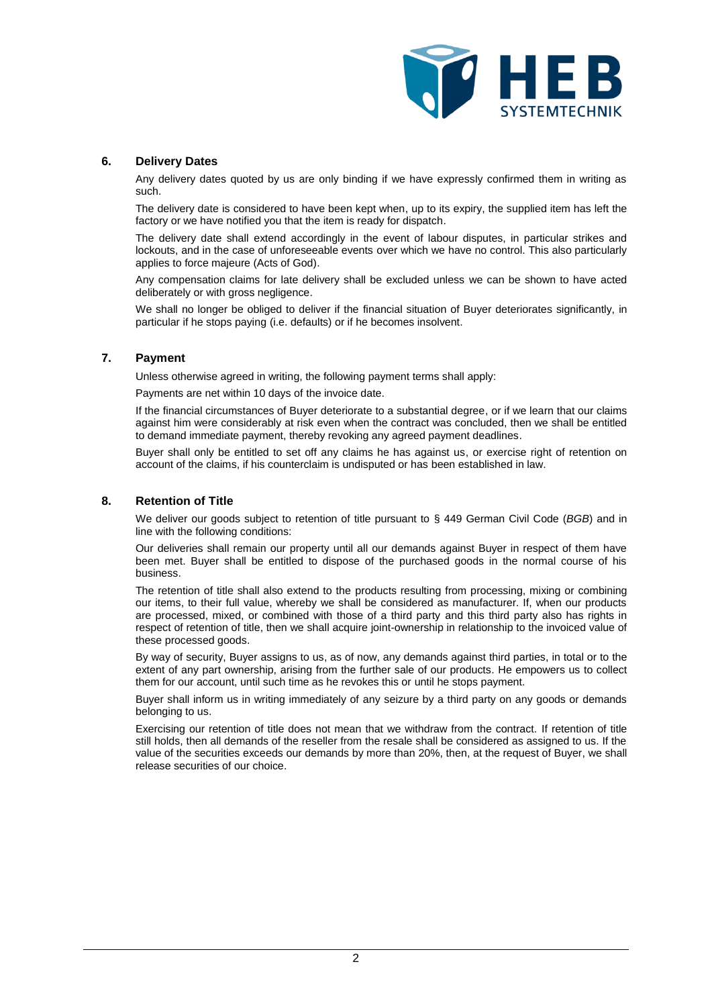

### **6. Delivery Dates**

Any delivery dates quoted by us are only binding if we have expressly confirmed them in writing as such.

The delivery date is considered to have been kept when, up to its expiry, the supplied item has left the factory or we have notified you that the item is ready for dispatch.

The delivery date shall extend accordingly in the event of labour disputes, in particular strikes and lockouts, and in the case of unforeseeable events over which we have no control. This also particularly applies to force majeure (Acts of God).

Any compensation claims for late delivery shall be excluded unless we can be shown to have acted deliberately or with gross negligence.

We shall no longer be obliged to deliver if the financial situation of Buyer deteriorates significantly, in particular if he stops paying (i.e. defaults) or if he becomes insolvent.

#### **7. Payment**

Unless otherwise agreed in writing, the following payment terms shall apply:

Payments are net within 10 days of the invoice date.

If the financial circumstances of Buyer deteriorate to a substantial degree, or if we learn that our claims against him were considerably at risk even when the contract was concluded, then we shall be entitled to demand immediate payment, thereby revoking any agreed payment deadlines.

Buyer shall only be entitled to set off any claims he has against us, or exercise right of retention on account of the claims, if his counterclaim is undisputed or has been established in law.

## **8. Retention of Title**

We deliver our goods subject to retention of title pursuant to § 449 German Civil Code (*BGB*) and in line with the following conditions:

Our deliveries shall remain our property until all our demands against Buyer in respect of them have been met. Buyer shall be entitled to dispose of the purchased goods in the normal course of his business.

The retention of title shall also extend to the products resulting from processing, mixing or combining our items, to their full value, whereby we shall be considered as manufacturer. If, when our products are processed, mixed, or combined with those of a third party and this third party also has rights in respect of retention of title, then we shall acquire joint-ownership in relationship to the invoiced value of these processed goods.

By way of security, Buyer assigns to us, as of now, any demands against third parties, in total or to the extent of any part ownership, arising from the further sale of our products. He empowers us to collect them for our account, until such time as he revokes this or until he stops payment.

Buyer shall inform us in writing immediately of any seizure by a third party on any goods or demands belonging to us.

Exercising our retention of title does not mean that we withdraw from the contract. If retention of title still holds, then all demands of the reseller from the resale shall be considered as assigned to us. If the value of the securities exceeds our demands by more than 20%, then, at the request of Buyer, we shall release securities of our choice.